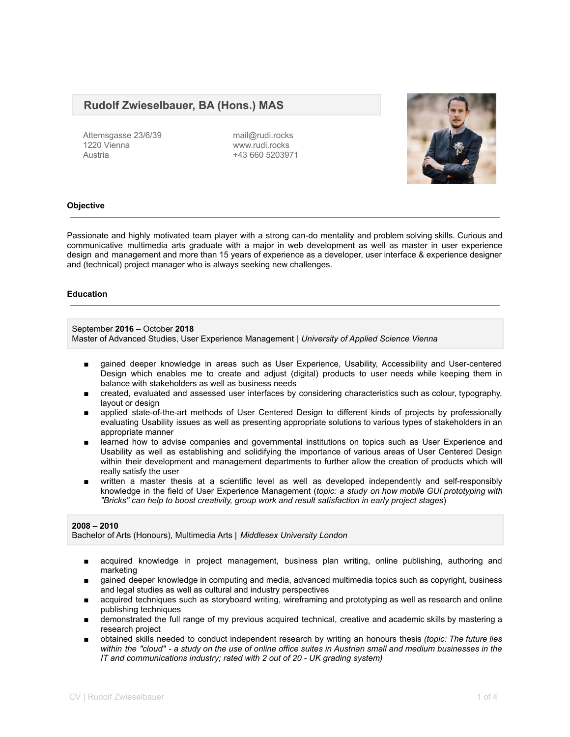# **Rudolf Zwieselbauer, BA (Hons.) MAS**

Attemsgasse 23/6/39 1220 Vienna Austria

mail@rudi.rocks www.rudi.rocks +43 660 5203971



# **Objective**

Passionate and highly motivated team player with a strong can-do mentality and problem solving skills. Curious and communicative multimedia arts graduate with a major in web development as well as master in user experience design and management and more than 15 years of experience as a developer, user interface & experience designer and (technical) project manager who is always seeking new challenges.

### **Education**

September **2016** – October **2018** Master of Advanced Studies, User Experience Management | *University of Applied Science Vienna*

- gained deeper knowledge in areas such as User Experience, Usability, Accessibility and User-centered Design which enables me to create and adjust (digital) products to user needs while keeping them in balance with stakeholders as well as business needs
- created, evaluated and assessed user interfaces by considering characteristics such as colour, typography, layout or design
- applied state-of-the-art methods of User Centered Design to different kinds of projects by professionally evaluating Usability issues as well as presenting appropriate solutions to various types of stakeholders in an appropriate manner
- learned how to advise companies and governmental institutions on topics such as User Experience and Usability as well as establishing and solidifying the importance of various areas of User Centered Design within their development and management departments to further allow the creation of products which will really satisfy the user
- written a master thesis at a scientific level as well as developed independently and self-responsibly knowledge in the field of User Experience Management (*topic: a study on how mobile GUI prototyping with "Bricks" can help to boost creativity, group work and result satisfaction in early project stages*)

#### **2008** – **2010**

Bachelor of Arts (Honours), Multimedia Arts | *Middlesex University London*

- acquired knowledge in project management, business plan writing, online publishing, authoring and marketing
- gained deeper knowledge in computing and media, advanced multimedia topics such as copyright, business and legal studies as well as cultural and industry perspectives
- acquired techniques such as storyboard writing, wireframing and prototyping as well as research and online publishing techniques
- demonstrated the full range of my previous acquired technical, creative and academic skills by mastering a research project
- obtained skills needed to conduct independent research by writing an honours thesis *(topic: The future lies* within the "cloud" - a study on the use of online office suites in Austrian small and medium businesses in the *IT and communications industry; rated with 2 out of 20 - UK grading system)*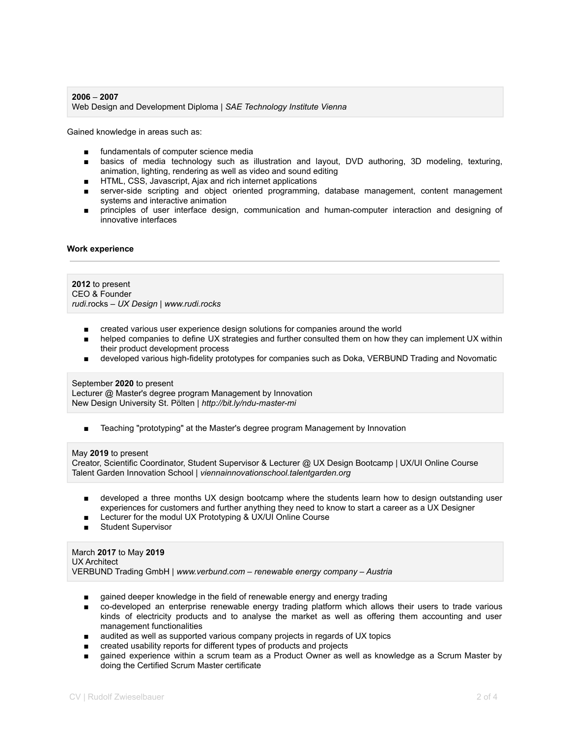# **2006** – **2007** Web Design and Development Diploma | *SAE Technology Institute Vienna*

Gained knowledge in areas such as:

- fundamentals of computer science media
- basics of media technology such as illustration and layout, DVD authoring, 3D modeling, texturing, animation, lighting, rendering as well as video and sound editing
- HTML, CSS, Javascript, Ajax and rich internet applications
- server-side scripting and object oriented programming, database management, content management systems and interactive animation
- principles of user interface design, communication and human-computer interaction and designing of innovative interfaces

# **Work experience**

### **2012** to present CEO & Founder *rudi*.rocks – *UX Design | www.rudi.rocks*

- created various user experience design solutions for companies around the world
- helped companies to define UX strategies and further consulted them on how they can implement UX within their product development process
- developed various high-fidelity prototypes for companies such as Doka, VERBUND Trading and Novomatic

# September **2020** to present

Lecturer @ Master's degree program Management by Innovation New Design University St. Pölten | *http://bit.ly/ndu-master-mi*

■ Teaching "prototyping" at the Master's degree program Management by Innovation

#### May **2019** to present

Creator, Scientific Coordinator, Student Supervisor & Lecturer @ UX Design Bootcamp | UX/UI Online Course Talent Garden Innovation School | *viennainnovationschool.talentgarden.org*

- developed a three months UX design bootcamp where the students learn how to design outstanding user experiences for customers and further anything they need to know to start a career as a UX Designer
- Lecturer for the modul UX Prototyping & UX/UI Online Course
- Student Supervisor

March **2017** to May **2019** UX Architect VERBUND Trading GmbH | *www.verbund.com – renewable energy company – Austria*

- gained deeper knowledge in the field of renewable energy and energy trading
- co-developed an enterprise renewable energy trading platform which allows their users to trade various kinds of electricity products and to analyse the market as well as offering them accounting and user management functionalities
- audited as well as supported various company projects in regards of UX topics
- created usability reports for different types of products and projects
- gained experience within a scrum team as a Product Owner as well as knowledge as a Scrum Master by doing the Certified Scrum Master certificate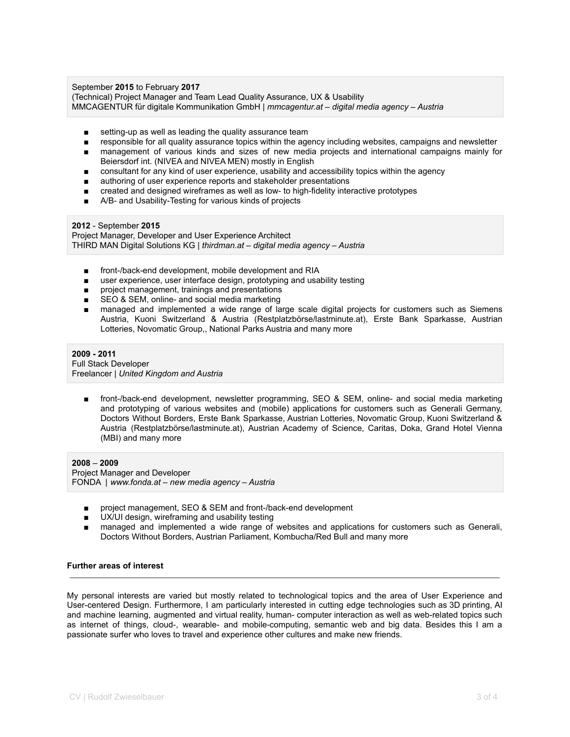### September **2015** to February **2017**

(Technical) Project Manager and Team Lead Quality Assurance, UX & Usability MMCAGENTUR für digitale Kommunikation GmbH | *mmcagentur.at – digital media agency – Austria*

- setting-up as well as leading the quality assurance team
- responsible for all quality assurance topics within the agency including websites, campaigns and newsletter
- management of various kinds and sizes of new media projects and international campaigns mainly for Beiersdorf int. (NIVEA and NIVEA MEN) mostly in English
- consultant for any kind of user experience, usability and accessibility topics within the agency
- authoring of user experience reports and stakeholder presentations
- created and designed wireframes as well as low- to high-fidelity interactive prototypes
- A/B- and Usability-Testing for various kinds of projects

### **2012** - September **2015**

Project Manager, Developer and User Experience Architect THIRD MAN Digital Solutions KG | *thirdman.at – digital media agency – Austria*

- front-/back-end development, mobile development and RIA
- user experience, user interface design, prototyping and usability testing
- project management, trainings and presentations
- SEO & SEM, online- and social media marketing
- managed and implemented a wide range of large scale digital projects for customers such as Siemens Austria, Kuoni Switzerland & Austria (Restplatzbörse/lastminute.at), Erste Bank Sparkasse, Austrian Lotteries, Novomatic Group,, National Parks Austria and many more

# **2009 - 2011**

Full Stack Developer Freelancer | *United Kingdom and Austria*

■ front-/back-end development, newsletter programming, SEO & SEM, online- and social media marketing and prototyping of various websites and (mobile) applications for customers such as Generali Germany, Doctors Without Borders, Erste Bank Sparkasse, Austrian Lotteries, Novomatic Group, Kuoni Switzerland & Austria (Restplatzbörse/lastminute.at), Austrian Academy of Science, Caritas, Doka, Grand Hotel Vienna (MBI) and many more

**2008** – **2009** Project Manager and Developer FONDA | *www.fonda.at – new media agency – Austria*

- project management, SEO & SEM and front-/back-end development
- UX/UI design, wireframing and usability testing
- managed and implemented a wide range of websites and applications for customers such as Generali, Doctors Without Borders, Austrian Parliament, Kombucha/Red Bull and many more

# **Further areas of interest**

My personal interests are varied but mostly related to technological topics and the area of User Experience and User-centered Design. Furthermore, I am particularly interested in cutting edge technologies such as 3D printing, AI and machine learning, augmented and virtual reality, human- computer interaction as well as web-related topics such as internet of things, cloud-, wearable- and mobile-computing, semantic web and big data. Besides this I am a passionate surfer who loves to travel and experience other cultures and make new friends.